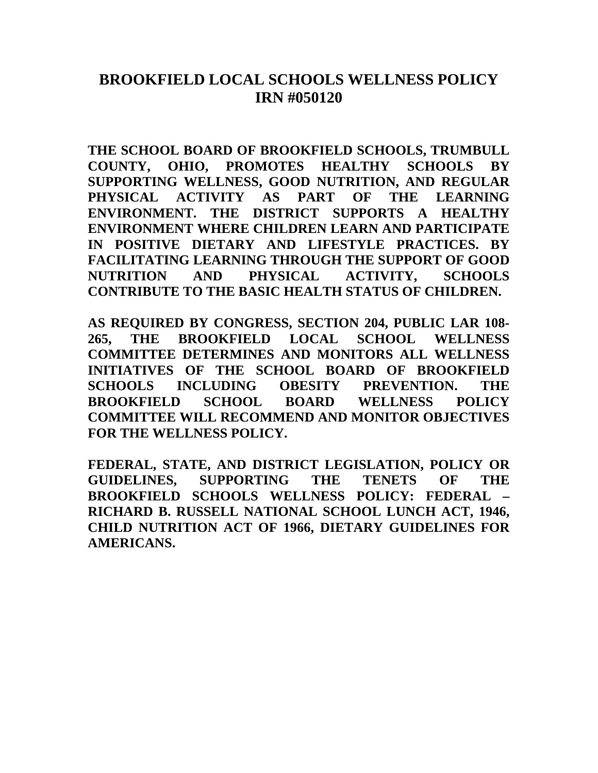# **BROOKFIELD LOCAL SCHOOLS WELLNESS POLICY IRN #050120**

**THE SCHOOL BOARD OF BROOKFIELD SCHOOLS, TRUMBULL COUNTY, OHIO, PROMOTES HEALTHY SCHOOLS BY SUPPORTING WELLNESS, GOOD NUTRITION, AND REGULAR PHYSICAL ACTIVITY AS PART OF THE LEARNING ENVIRONMENT. THE DISTRICT SUPPORTS A HEALTHY ENVIRONMENT WHERE CHILDREN LEARN AND PARTICIPATE IN POSITIVE DIETARY AND LIFESTYLE PRACTICES. BY FACILITATING LEARNING THROUGH THE SUPPORT OF GOOD NUTRITION AND PHYSICAL ACTIVITY, SCHOOLS CONTRIBUTE TO THE BASIC HEALTH STATUS OF CHILDREN.** 

**AS REQUIRED BY CONGRESS, SECTION 204, PUBLIC LAR 108- 265, THE BROOKFIELD LOCAL SCHOOL WELLNESS COMMITTEE DETERMINES AND MONITORS ALL WELLNESS INITIATIVES OF THE SCHOOL BOARD OF BROOKFIELD SCHOOLS INCLUDING OBESITY PREVENTION. THE BROOKFIELD SCHOOL BOARD WELLNESS POLICY COMMITTEE WILL RECOMMEND AND MONITOR OBJECTIVES FOR THE WELLNESS POLICY.** 

**FEDERAL, STATE, AND DISTRICT LEGISLATION, POLICY OR GUIDELINES, SUPPORTING THE TENETS OF THE BROOKFIELD SCHOOLS WELLNESS POLICY: FEDERAL – RICHARD B. RUSSELL NATIONAL SCHOOL LUNCH ACT, 1946, CHILD NUTRITION ACT OF 1966, DIETARY GUIDELINES FOR AMERICANS.**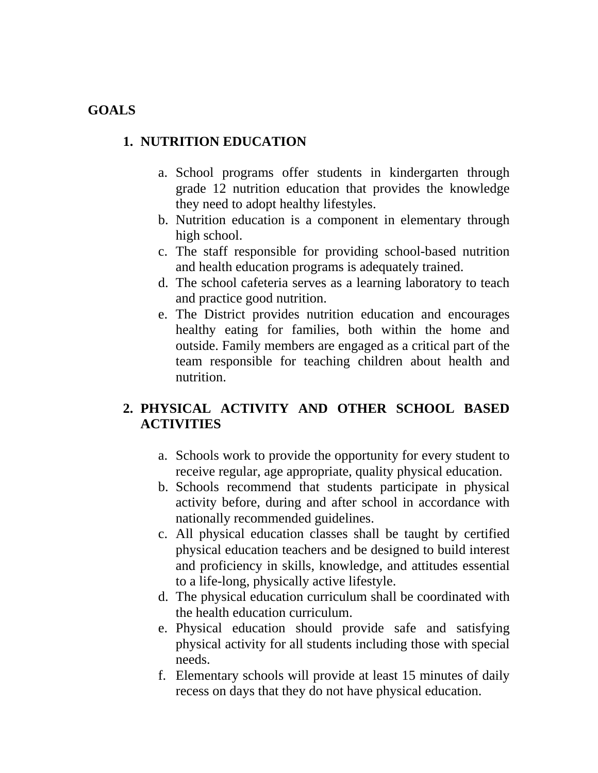#### **GOALS**

#### **1. NUTRITION EDUCATION**

- a. School programs offer students in kindergarten through grade 12 nutrition education that provides the knowledge they need to adopt healthy lifestyles.
- b. Nutrition education is a component in elementary through high school.
- c. The staff responsible for providing school-based nutrition and health education programs is adequately trained.
- d. The school cafeteria serves as a learning laboratory to teach and practice good nutrition.
- e. The District provides nutrition education and encourages healthy eating for families, both within the home and outside. Family members are engaged as a critical part of the team responsible for teaching children about health and nutrition.

### **2. PHYSICAL ACTIVITY AND OTHER SCHOOL BASED ACTIVITIES**

- a. Schools work to provide the opportunity for every student to receive regular, age appropriate, quality physical education.
- b. Schools recommend that students participate in physical activity before, during and after school in accordance with nationally recommended guidelines.
- c. All physical education classes shall be taught by certified physical education teachers and be designed to build interest and proficiency in skills, knowledge, and attitudes essential to a life-long, physically active lifestyle.
- d. The physical education curriculum shall be coordinated with the health education curriculum.
- e. Physical education should provide safe and satisfying physical activity for all students including those with special needs.
- f. Elementary schools will provide at least 15 minutes of daily recess on days that they do not have physical education.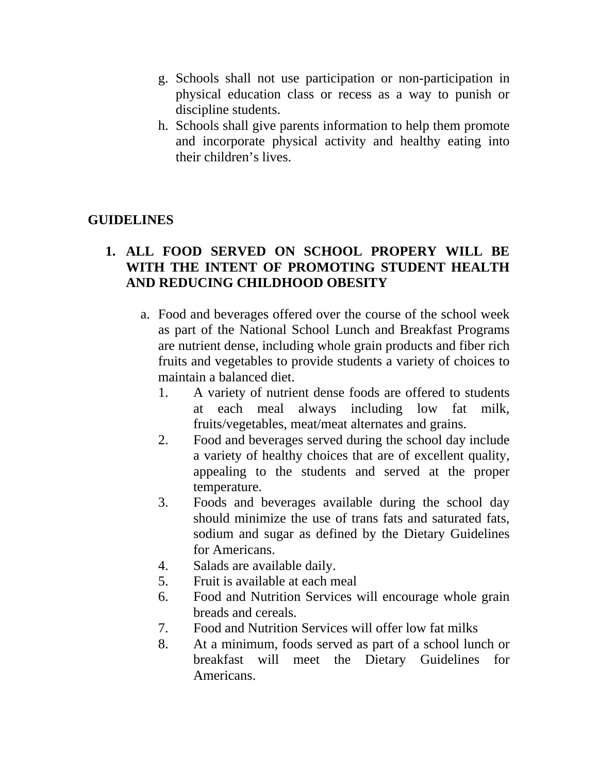- g. Schools shall not use participation or non-participation in physical education class or recess as a way to punish or discipline students.
- h. Schools shall give parents information to help them promote and incorporate physical activity and healthy eating into their children's lives.

#### **GUIDELINES**

#### **1. ALL FOOD SERVED ON SCHOOL PROPERY WILL BE WITH THE INTENT OF PROMOTING STUDENT HEALTH AND REDUCING CHILDHOOD OBESITY**

- a. Food and beverages offered over the course of the school week as part of the National School Lunch and Breakfast Programs are nutrient dense, including whole grain products and fiber rich fruits and vegetables to provide students a variety of choices to maintain a balanced diet.
	- 1. A variety of nutrient dense foods are offered to students at each meal always including low fat milk, fruits/vegetables, meat/meat alternates and grains.
	- 2. Food and beverages served during the school day include a variety of healthy choices that are of excellent quality, appealing to the students and served at the proper temperature.
	- 3. Foods and beverages available during the school day should minimize the use of trans fats and saturated fats, sodium and sugar as defined by the Dietary Guidelines for Americans.
	- 4. Salads are available daily.
	- 5. Fruit is available at each meal
	- 6. Food and Nutrition Services will encourage whole grain breads and cereals.
	- 7. Food and Nutrition Services will offer low fat milks
	- 8. At a minimum, foods served as part of a school lunch or breakfast will meet the Dietary Guidelines for Americans.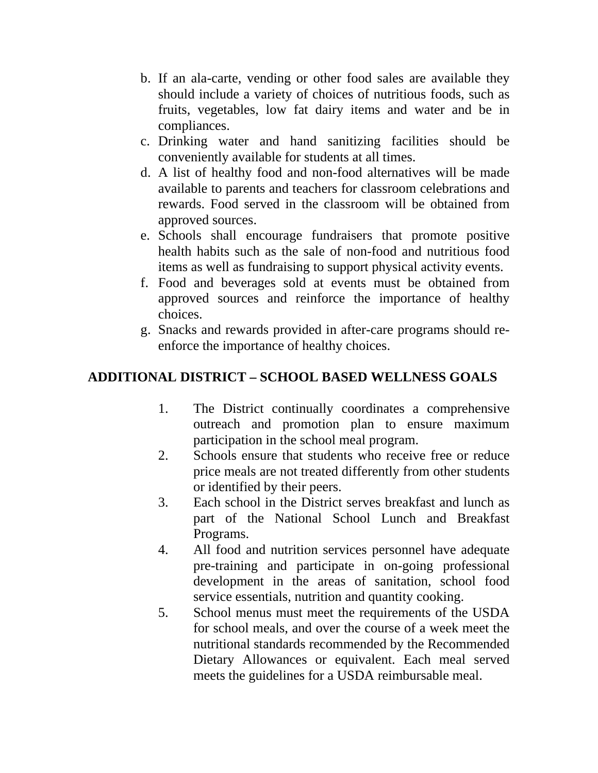- b. If an ala-carte, vending or other food sales are available they should include a variety of choices of nutritious foods, such as fruits, vegetables, low fat dairy items and water and be in compliances.
- c. Drinking water and hand sanitizing facilities should be conveniently available for students at all times.
- d. A list of healthy food and non-food alternatives will be made available to parents and teachers for classroom celebrations and rewards. Food served in the classroom will be obtained from approved sources.
- e. Schools shall encourage fundraisers that promote positive health habits such as the sale of non-food and nutritious food items as well as fundraising to support physical activity events.
- f. Food and beverages sold at events must be obtained from approved sources and reinforce the importance of healthy choices.
- g. Snacks and rewards provided in after-care programs should reenforce the importance of healthy choices.

# **ADDITIONAL DISTRICT – SCHOOL BASED WELLNESS GOALS**

- 1. The District continually coordinates a comprehensive outreach and promotion plan to ensure maximum participation in the school meal program.
- 2. Schools ensure that students who receive free or reduce price meals are not treated differently from other students or identified by their peers.
- 3. Each school in the District serves breakfast and lunch as part of the National School Lunch and Breakfast Programs.
- 4. All food and nutrition services personnel have adequate pre-training and participate in on-going professional development in the areas of sanitation, school food service essentials, nutrition and quantity cooking.
- 5. School menus must meet the requirements of the USDA for school meals, and over the course of a week meet the nutritional standards recommended by the Recommended Dietary Allowances or equivalent. Each meal served meets the guidelines for a USDA reimbursable meal.